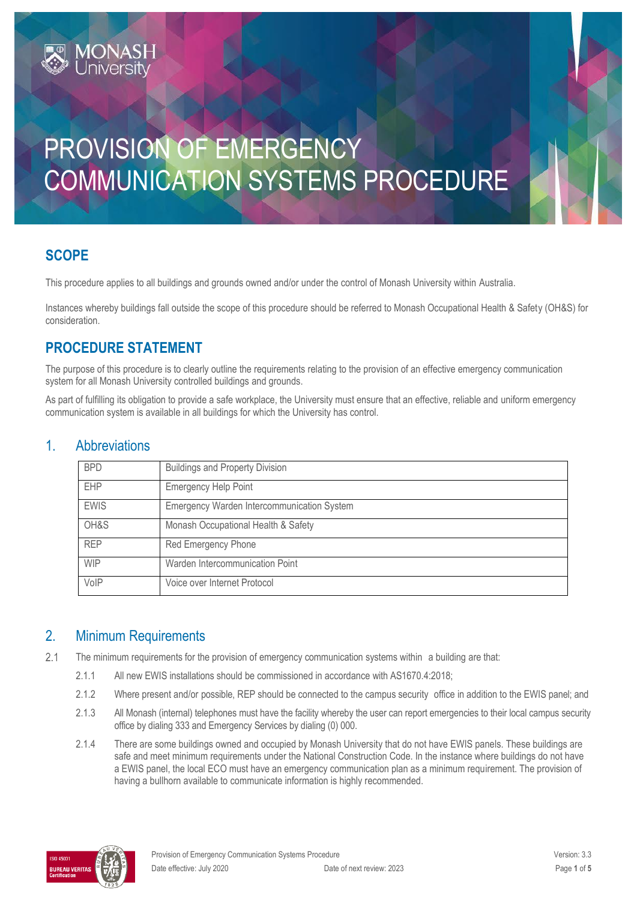# PROVISION OF EMERGENCY COMMUNICATION SYSTEMS PROCEDURE

## **SCOPE**

This procedure applies to all buildings and grounds owned and/or under the control of Monash University within Australia.

Instances whereby buildings fall outside the scope of this procedure should be referred to Monash Occupational Health & Safety (OH&S) for consideration.

## **PROCEDURE STATEMENT**

**IONAS** 

The purpose of this procedure is to clearly outline the requirements relating to the provision of an effective emergency communication system for all Monash University controlled buildings and grounds.

As part of fulfilling its obligation to provide a safe workplace, the University must ensure that an effective, reliable and uniform emergency communication system is available in all buildings for which the University has control.

| 1 |                      |  |
|---|----------------------|--|
| . | <b>Abbreviations</b> |  |
|   |                      |  |

| <b>BPD</b>  | <b>Buildings and Property Division</b>     |  |
|-------------|--------------------------------------------|--|
| <b>EHP</b>  | <b>Emergency Help Point</b>                |  |
| <b>EWIS</b> | Emergency Warden Intercommunication System |  |
| OH&S        | Monash Occupational Health & Safety        |  |
| <b>REP</b>  | Red Emergency Phone                        |  |
| <b>WIP</b>  | Warden Intercommunication Point            |  |
| VoIP        | Voice over Internet Protocol               |  |

## 2. Minimum Requirements

 $2.1$ The minimum requirements for the provision of emergency communication systems within a building are that:

- 2.1.1 All new EWIS installations should be commissioned in accordance with AS1670.4:2018;
- 2.1.2 Where present and/or possible, REP should be connected to the campus security office in addition to the EWIS panel; and
- 2.1.3 All Monash (internal) telephones must have the facility whereby the user can report emergencies to their local campus security office by dialing 333 and Emergency Services by dialing (0) 000.
- 2.1.4 There are some buildings owned and occupied by Monash University that do not have EWIS panels. These buildings are safe and meet minimum requirements under the National Construction Code. In the instance where buildings do not have a EWIS panel, the local ECO must have an emergency communication plan as a minimum requirement. The provision of having a bullhorn available to communicate information is highly recommended.

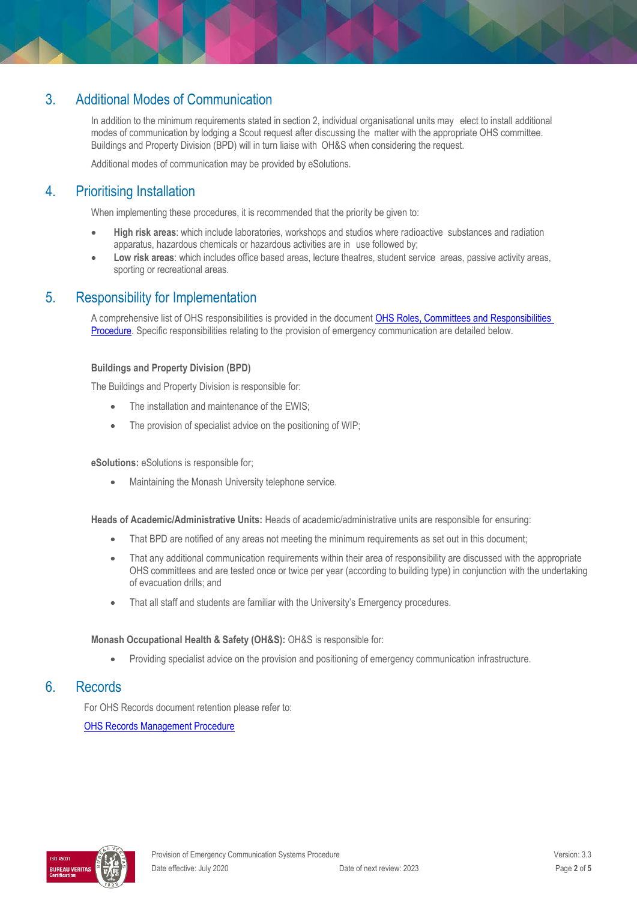## 3. Additional Modes of Communication

In addition to the minimum requirements stated in section 2, individual organisational units may elect to install additional modes of communication by lodging a Scout request after discussing the matter with the appropriate OHS committee. Buildings and Property Division (BPD) will in turn liaise with OH&S when considering the request.

Additional modes of communication may be provided by eSolutions.

## 4. Prioritising Installation

When implementing these procedures, it is recommended that the priority be given to:

- **High risk areas**: which include laboratories, workshops and studios where radioactive substances and radiation apparatus, hazardous chemicals or hazardous activities are in use followed by;
- **Low risk areas**: which includes office based areas, lecture theatres, student service areas, passive activity areas, sporting or recreational areas.

### 5. Responsibility for Implementation

A comprehensive list of OHS responsibilities is provided in the document [OHS Roles, Committees and Responsibilities](https://publicpolicydms.monash.edu/Monash/documents/1935644)  [Procedure.](https://publicpolicydms.monash.edu/Monash/documents/1935644) Specific responsibilities relating to the provision of emergency communication are detailed below.

#### **Buildings and Property Division (BPD)**

The Buildings and Property Division is responsible for:

- The installation and maintenance of the EWIS;
- The provision of specialist advice on the positioning of WIP;

#### **eSolutions:** eSolutions is responsible for;

Maintaining the Monash University telephone service.

**Heads of Academic/Administrative Units:** Heads of academic/administrative units are responsible for ensuring:

- That BPD are notified of any areas not meeting the minimum requirements as set out in this document;
- That any additional communication requirements within their area of responsibility are discussed with the appropriate OHS committees and are tested once or twice per year (according to building type) in conjunction with the undertaking of evacuation drills; and
- That all staff and students are familiar with the University's Emergency procedures.

#### **Monash Occupational Health & Safety (OH&S):** OH&S is responsible for:

Providing specialist advice on the provision and positioning of emergency communication infrastructure.

## 6. Records

For OHS Records document retention please refer to:

[OHS Records Management Procedure](https://publicpolicydms.monash.edu/Monash/documents/1935642)

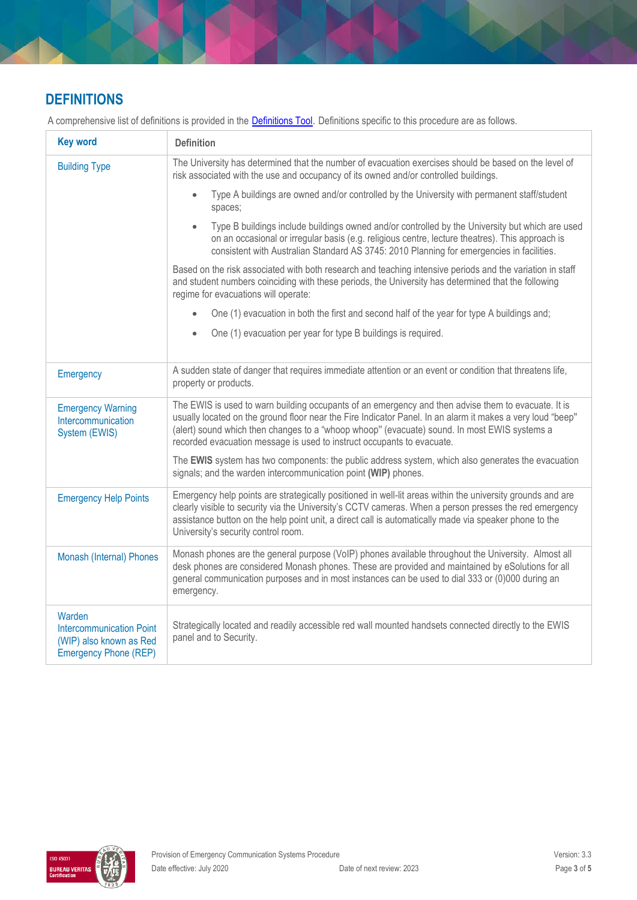## **DEFINITIONS**

A comprehensive list of definitions is provided in the **[Definitions Tool](https://www.monash.edu/__data/assets/pdf_file/0018/113742/ohs-document-definitions.pdf)**. Definitions specific to this procedure are as follows.

| <b>Key word</b>                                                                                      | <b>Definition</b>                                                                                                                                                                                                                                                                                                                                                                           |
|------------------------------------------------------------------------------------------------------|---------------------------------------------------------------------------------------------------------------------------------------------------------------------------------------------------------------------------------------------------------------------------------------------------------------------------------------------------------------------------------------------|
| <b>Building Type</b>                                                                                 | The University has determined that the number of evacuation exercises should be based on the level of<br>risk associated with the use and occupancy of its owned and/or controlled buildings.                                                                                                                                                                                               |
|                                                                                                      | Type A buildings are owned and/or controlled by the University with permanent staff/student<br>$\bullet$<br>spaces;                                                                                                                                                                                                                                                                         |
|                                                                                                      | Type B buildings include buildings owned and/or controlled by the University but which are used<br>$\bullet$<br>on an occasional or irregular basis (e.g. religious centre, lecture theatres). This approach is<br>consistent with Australian Standard AS 3745: 2010 Planning for emergencies in facilities.                                                                                |
|                                                                                                      | Based on the risk associated with both research and teaching intensive periods and the variation in staff<br>and student numbers coinciding with these periods, the University has determined that the following<br>regime for evacuations will operate:                                                                                                                                    |
|                                                                                                      | One (1) evacuation in both the first and second half of the year for type A buildings and;<br>$\bullet$                                                                                                                                                                                                                                                                                     |
|                                                                                                      | One (1) evacuation per year for type B buildings is required.<br>$\bullet$                                                                                                                                                                                                                                                                                                                  |
| Emergency                                                                                            | A sudden state of danger that requires immediate attention or an event or condition that threatens life,<br>property or products.                                                                                                                                                                                                                                                           |
| <b>Emergency Warning</b><br>Intercommunication<br>System (EWIS)                                      | The EWIS is used to warn building occupants of an emergency and then advise them to evacuate. It is<br>usually located on the ground floor near the Fire Indicator Panel. In an alarm it makes a very loud "beep"<br>(alert) sound which then changes to a "whoop whoop" (evacuate) sound. In most EWIS systems a<br>recorded evacuation message is used to instruct occupants to evacuate. |
|                                                                                                      | The EWIS system has two components: the public address system, which also generates the evacuation<br>signals; and the warden intercommunication point (WIP) phones.                                                                                                                                                                                                                        |
| <b>Emergency Help Points</b>                                                                         | Emergency help points are strategically positioned in well-lit areas within the university grounds and are<br>clearly visible to security via the University's CCTV cameras. When a person presses the red emergency<br>assistance button on the help point unit, a direct call is automatically made via speaker phone to the<br>University's security control room.                       |
| Monash (Internal) Phones                                                                             | Monash phones are the general purpose (VoIP) phones available throughout the University. Almost all<br>desk phones are considered Monash phones. These are provided and maintained by eSolutions for all<br>general communication purposes and in most instances can be used to dial 333 or (0)000 during an<br>emergency.                                                                  |
| Warden<br><b>Intercommunication Point</b><br>(WIP) also known as Red<br><b>Emergency Phone (REP)</b> | Strategically located and readily accessible red wall mounted handsets connected directly to the EWIS<br>panel and to Security.                                                                                                                                                                                                                                                             |

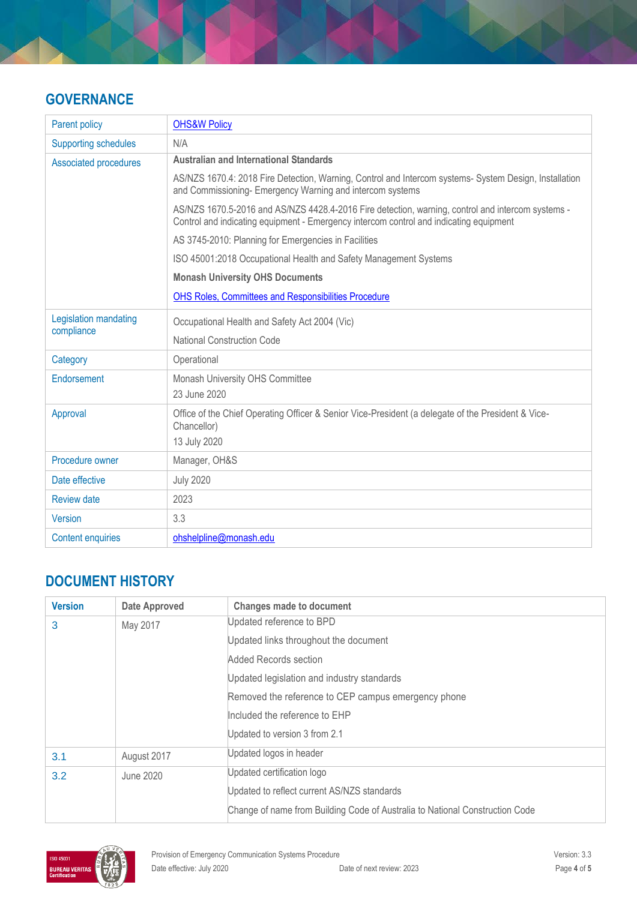## **GOVERNANCE**

| Parent policy                | <b>OHS&amp;W Policy</b>                                                                                                                                                                     |  |  |
|------------------------------|---------------------------------------------------------------------------------------------------------------------------------------------------------------------------------------------|--|--|
| <b>Supporting schedules</b>  | N/A                                                                                                                                                                                         |  |  |
| <b>Associated procedures</b> | <b>Australian and International Standards</b>                                                                                                                                               |  |  |
|                              | AS/NZS 1670.4: 2018 Fire Detection, Warning, Control and Intercom systems- System Design, Installation<br>and Commissioning- Emergency Warning and intercom systems                         |  |  |
|                              | AS/NZS 1670.5-2016 and AS/NZS 4428.4-2016 Fire detection, warning, control and intercom systems -<br>Control and indicating equipment - Emergency intercom control and indicating equipment |  |  |
|                              | AS 3745-2010: Planning for Emergencies in Facilities                                                                                                                                        |  |  |
|                              | ISO 45001:2018 Occupational Health and Safety Management Systems                                                                                                                            |  |  |
|                              | <b>Monash University OHS Documents</b>                                                                                                                                                      |  |  |
|                              | OHS Roles, Committees and Responsibilities Procedure                                                                                                                                        |  |  |
| Legislation mandating        | Occupational Health and Safety Act 2004 (Vic)                                                                                                                                               |  |  |
| compliance                   | <b>National Construction Code</b>                                                                                                                                                           |  |  |
| Category                     | Operational                                                                                                                                                                                 |  |  |
| Endorsement                  | Monash University OHS Committee                                                                                                                                                             |  |  |
|                              | 23 June 2020                                                                                                                                                                                |  |  |
| Approval                     | Office of the Chief Operating Officer & Senior Vice-President (a delegate of the President & Vice-<br>Chancellor)                                                                           |  |  |
|                              | 13 July 2020                                                                                                                                                                                |  |  |
| Procedure owner              | Manager, OH&S                                                                                                                                                                               |  |  |
| Date effective               | <b>July 2020</b>                                                                                                                                                                            |  |  |
| <b>Review date</b>           | 2023                                                                                                                                                                                        |  |  |
| <b>Version</b>               | 3.3                                                                                                                                                                                         |  |  |
| <b>Content enquiries</b>     | ohshelpline@monash.edu                                                                                                                                                                      |  |  |

## **DOCUMENT HISTORY**

| <b>Version</b> | <b>Date Approved</b> | <b>Changes made to document</b>                                              |
|----------------|----------------------|------------------------------------------------------------------------------|
| 3              | May 2017             | Updated reference to BPD                                                     |
|                |                      | Updated links throughout the document                                        |
|                |                      | Added Records section                                                        |
|                |                      | Updated legislation and industry standards                                   |
|                |                      | Removed the reference to CEP campus emergency phone                          |
|                |                      | Included the reference to EHP                                                |
|                |                      | Updated to version 3 from 2.1                                                |
| 3.1            | August 2017          | Updated logos in header                                                      |
| 3.2            | June 2020            | Updated certification logo                                                   |
|                |                      | Updated to reflect current AS/NZS standards                                  |
|                |                      | Change of name from Building Code of Australia to National Construction Code |